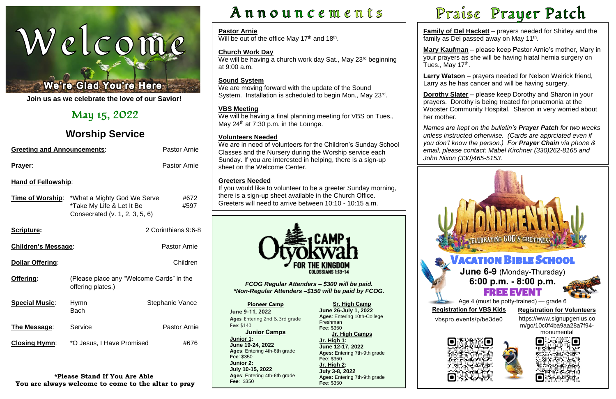# Welcome

### ł Ĭ ĺ

**Join us as we celebrate the love of our Savior!**

# May 15, 2022

# **Worship Service**

### **Greeting and Announcements**:Pastor Arnie

**Prayer: Prayer**: **Prayer**: **Pastor Arnie** 

| <b>Scripture:</b>          | 2 Corinthians 9:6-8 |
|----------------------------|---------------------|
| <b>Children's Message:</b> | <b>Pastor Arnie</b> |
| <b>Dollar Offering:</b>    | Children            |

- **Offering:** (Please place any "Welcome Cards" in the offering plates.)
- **Special Music:** Hymn Stephanie Vance **Bach The Message:** Service **Pastor Arnie**

**Closing Hymn:** \*O Jesus, I Have Promised #676

**Hand of Fellowship**:

| <b>Time of Worship:</b> *What a Mighty God We Serve | #672 |
|-----------------------------------------------------|------|
| *Take My Life & Let It Be                           | #597 |
| Consecrated (v. 1, 2, 3, 5, 6)                      |      |

**Family of Del Hackett** – prayers needed for Shirley and the family as Del passed away on May 11<sup>th</sup>.

**Mary Kaufman** – please keep Pastor Arnie's mother, Mary in your prayers as she will be having hiatal hernia surgery on Tues., May 17<sup>th</sup>.

**\*Please Stand If You Are Able You are always welcome to come to the altar to pray**

# Announcements

**Dorothly State!** - please keep Dorothly and Sharon in y<br>prayers. Dorothy is being treated for pnuemonia at the **Dorothy Slater** – please keep Dorothy and Sharon in your Wooster Community Hospital. Sharon in very worried about her mother.

We will be having a church work day Sat., May 23rd beginning at 9:00 a.m.

We are moving forward with the update of the Sound System. Installation is scheduled to begin Mon., May 23<sup>rd</sup>.

We will be having a final planning meeting for VBS on Tues., May  $24<sup>th</sup>$  at 7:30 p.m. in the Lounge.

**Larry Watson** – prayers needed for Nelson Weirick friend, Larry as he has cancer and will be having surgery.

 *unless instructed otherwise. (Cards are apprciated even if Names are kept on the bulletin's Prayer Patch for two weeks you don't know the person.) For Prayer Chain via phone & email, please contact: Mabel Kirchner (330)262-8165 and John Nixon (330)465-5153.*

### **Pastor Arnie**

Will be out of the office May 17<sup>th</sup> and 18<sup>th</sup>.

### *FCOG Regular Attenders – \$300 will be paid. \*Non-Regular Attenders –\$150 will be paid by FCOG.*

### **Church Work Day**

### **Sound System**

.

### **VBS Meeting**





## **Volunteers Needed**

# Praise Prayer Patch

We are in need of volunteers for the Children's Sunday School Classes and the Nursery during the Worship service each Sunday. If you are interested in helping, there is a sign-up sheet on the Welcome Center.

### **Greeters Needed**

If you would like to volunteer to be a greeter Sunday morning, there is a sign-up sheet available in the Church Office. Greeters will need to arrive between 10:10 - 10:15 a.m.



**[Pioneer Camp](https://www.otyokwah.org/) June 9-11, 2022 Ages**: Entering 2nd & 3rd grade **Fee**: \$140

**Junior Camps Junior 1: June 19-24, 2022 Ages**: Entering 4th-6th grade **Fee**: \$350 **Junior 2: July 10-15, 2022 Ages**: Entering 4th-6th grade **Fee**: \$350

**Sr. High Camp June 26-July 1, 2022 Ages**: Entering 10th-College Freshman **Fee**: \$350 **Jr. High Camps Jr. High 1: June 12-17, 2022 Ages:** Entering 7th-9th grade **Fee**: \$350 **Jr. High 2: July 3-8, 2022**

**Ages:** Entering 7th-9th grade

**Fee**: \$350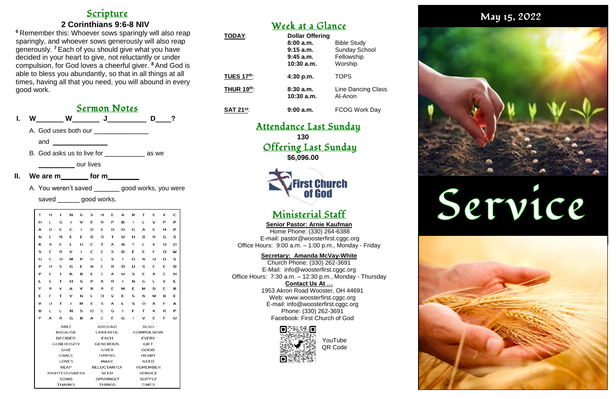## Scripture **2 Corinthians 9:6-8 NIV**

### **<sup>6</sup>** Remember this: Whoever sows sparingly will also reap sparingly, and whoever sows generously will also reap generously. **<sup>7</sup>** Each of you should give what you have decided in your heart to give, not reluctantly or under compulsion, for God loves a cheerful giver. **<sup>8</sup>** And God is able to bless you abundantly, so that in all things at all times, having all that you need, you will abound in every good work.



# Week at a Glance

| <b>TODAY:</b>     |                          | <b>Dollar Offering</b>               |  |
|-------------------|--------------------------|--------------------------------------|--|
|                   | 8:00a.m.                 | <b>Bible Study</b>                   |  |
|                   | $9:15$ a.m.              | <b>Sunday School</b>                 |  |
|                   | $9:45$ a.m.              | Fellowship                           |  |
|                   | 10:30 a.m.               | Worship                              |  |
| <b>TUES 17th:</b> | 4:30 p.m.                | <b>TOPS</b>                          |  |
| <b>THUR 19th:</b> | 8:30a.m.<br>$10:30$ a.m. | <b>Line Dancing Class</b><br>Al-Anon |  |
| <b>SAT 21st:</b>  | 9:00a.m.                 | <b>FCOG Work Day</b>                 |  |

Attendance Last Sunday **130** Offering Last Sunday **\$6,096.00**



# Ministerial Staff

**Senior Pastor: Arnie Kaufman** Home Phone: (330) 264-6388 E-mail: [pastor@woosterfirst.cggc.org](mailto:pastor@woosterfirst.cggc.org) Office Hours: 9:00 a.m. – 1:00 p.m., Monday - Friday

### **Secretary: Amanda McVay-White**

Church Phone: (330) 262-3691 E-Mail: info@woosterfirst.cggc.org Office Hours: 7:30 a.m. – 12:30 p.m., Monday - Thursday **Contact Us At …** 1953 Akron Road Wooster, OH 44691 Web: [www.woosterfirst.cggc.org](http://www.woosterfirst.cggc.org/) E-mail: info@woosterfirst.cggc.org Phone: (330) 262-3691 Facebook: First Church of God





# $\overline{a}$



YouTube QR Code

# May 15, 2022